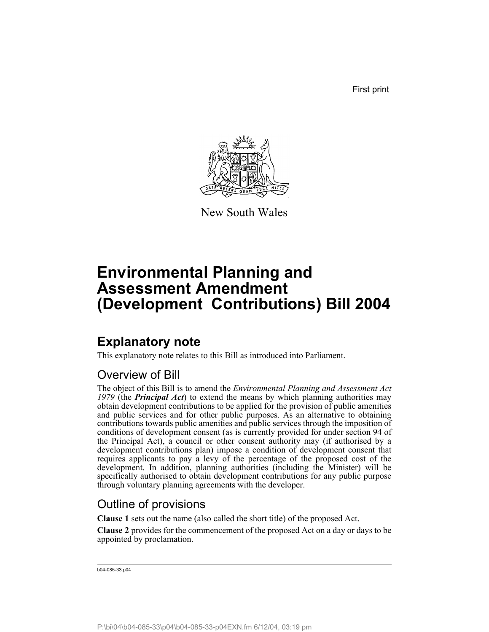First print



New South Wales

# **Environmental Planning and Assessment Amendment (Development Contributions) Bill 2004**

## **Explanatory note**

This explanatory note relates to this Bill as introduced into Parliament.

## Overview of Bill

The object of this Bill is to amend the *Environmental Planning and Assessment Act 1979* (the *Principal Act*) to extend the means by which planning authorities may obtain development contributions to be applied for the provision of public amenities and public services and for other public purposes. As an alternative to obtaining contributions towards public amenities and public services through the imposition of conditions of development consent (as is currently provided for under section 94 of the Principal Act), a council or other consent authority may (if authorised by a development contributions plan) impose a condition of development consent that requires applicants to pay a levy of the percentage of the proposed cost of the development. In addition, planning authorities (including the Minister) will be specifically authorised to obtain development contributions for any public purpose through voluntary planning agreements with the developer.

## Outline of provisions

**Clause 1** sets out the name (also called the short title) of the proposed Act.

**Clause 2** provides for the commencement of the proposed Act on a day or days to be appointed by proclamation.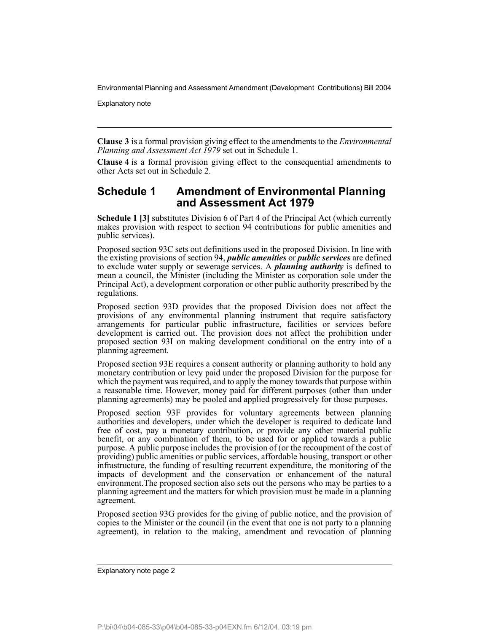Explanatory note

**Clause 3** is a formal provision giving effect to the amendments to the *Environmental Planning and Assessment Act 1979* set out in Schedule 1.

**Clause 4** is a formal provision giving effect to the consequential amendments to other Acts set out in Schedule 2.

## **Schedule 1 Amendment of Environmental Planning and Assessment Act 1979**

**Schedule 1 [3]** substitutes Division 6 of Part 4 of the Principal Act (which currently makes provision with respect to section 94 contributions for public amenities and public services).

Proposed section 93C sets out definitions used in the proposed Division. In line with the existing provisions of section 94, *public amenities* or *public services* are defined to exclude water supply or sewerage services. A *planning authority* is defined to mean a council, the Minister (including the Minister as corporation sole under the Principal Act), a development corporation or other public authority prescribed by the regulations.

Proposed section 93D provides that the proposed Division does not affect the provisions of any environmental planning instrument that require satisfactory arrangements for particular public infrastructure, facilities or services before development is carried out. The provision does not affect the prohibition under proposed section 93I on making development conditional on the entry into of a planning agreement.

Proposed section 93E requires a consent authority or planning authority to hold any monetary contribution or levy paid under the proposed Division for the purpose for which the payment was required, and to apply the money towards that purpose within a reasonable time. However, money paid for different purposes (other than under planning agreements) may be pooled and applied progressively for those purposes.

Proposed section 93F provides for voluntary agreements between planning authorities and developers, under which the developer is required to dedicate land free of cost, pay a monetary contribution, or provide any other material public benefit, or any combination of them, to be used for or applied towards a public purpose. A public purpose includes the provision of (or the recoupment of the cost of providing) public amenities or public services, affordable housing, transport or other infrastructure, the funding of resulting recurrent expenditure, the monitoring of the impacts of development and the conservation or enhancement of the natural environment.The proposed section also sets out the persons who may be parties to a planning agreement and the matters for which provision must be made in a planning agreement.

Proposed section 93G provides for the giving of public notice, and the provision of copies to the Minister or the council (in the event that one is not party to a planning agreement), in relation to the making, amendment and revocation of planning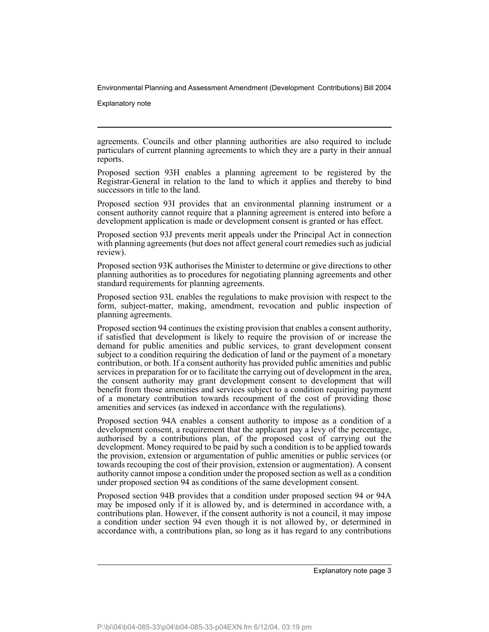Explanatory note

agreements. Councils and other planning authorities are also required to include particulars of current planning agreements to which they are a party in their annual reports.

Proposed section 93H enables a planning agreement to be registered by the Registrar-General in relation to the land to which it applies and thereby to bind successors in title to the land.

Proposed section 93I provides that an environmental planning instrument or a consent authority cannot require that a planning agreement is entered into before a development application is made or development consent is granted or has effect.

Proposed section 93J prevents merit appeals under the Principal Act in connection with planning agreements (but does not affect general court remedies such as judicial review).

Proposed section 93K authorises the Minister to determine or give directions to other planning authorities as to procedures for negotiating planning agreements and other standard requirements for planning agreements.

Proposed section 93L enables the regulations to make provision with respect to the form, subject-matter, making, amendment, revocation and public inspection of planning agreements.

Proposed section 94 continues the existing provision that enables a consent authority, if satisfied that development is likely to require the provision of or increase the demand for public amenities and public services, to grant development consent subject to a condition requiring the dedication of land or the payment of a monetary contribution, or both. If a consent authority has provided public amenities and public services in preparation for or to facilitate the carrying out of development in the area, the consent authority may grant development consent to development that will benefit from those amenities and services subject to a condition requiring payment of a monetary contribution towards recoupment of the cost of providing those amenities and services (as indexed in accordance with the regulations).

Proposed section 94A enables a consent authority to impose as a condition of a development consent, a requirement that the applicant pay a levy of the percentage, authorised by a contributions plan, of the proposed cost of carrying out the development. Money required to be paid by such a condition is to be applied towards the provision, extension or argumentation of public amenities or public services (or towards recouping the cost of their provision, extension or augmentation). A consent authority cannot impose a condition under the proposed section as well as a condition under proposed section 94 as conditions of the same development consent.

Proposed section 94B provides that a condition under proposed section 94 or 94A may be imposed only if it is allowed by, and is determined in accordance with, a contributions plan. However, if the consent authority is not a council, it may impose a condition under section 94 even though it is not allowed by, or determined in accordance with, a contributions plan, so long as it has regard to any contributions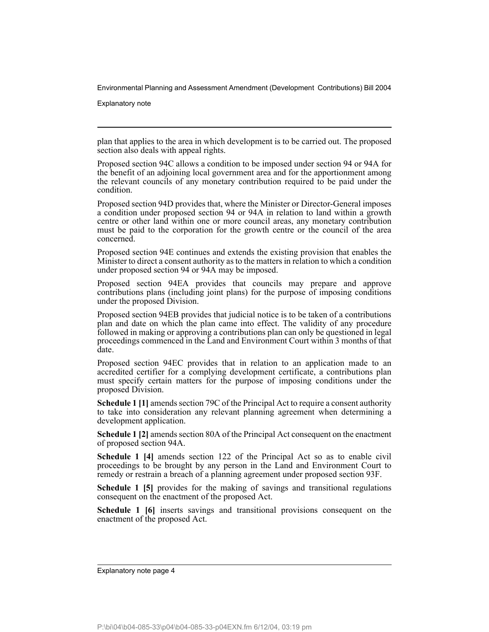Explanatory note

plan that applies to the area in which development is to be carried out. The proposed section also deals with appeal rights.

Proposed section 94C allows a condition to be imposed under section 94 or 94A for the benefit of an adjoining local government area and for the apportionment among the relevant councils of any monetary contribution required to be paid under the condition.

Proposed section 94D provides that, where the Minister or Director-General imposes a condition under proposed section 94 or 94A in relation to land within a growth centre or other land within one or more council areas, any monetary contribution must be paid to the corporation for the growth centre or the council of the area concerned.

Proposed section 94E continues and extends the existing provision that enables the Minister to direct a consent authority as to the matters in relation to which a condition under proposed section 94 or 94A may be imposed.

Proposed section 94EA provides that councils may prepare and approve contributions plans (including joint plans) for the purpose of imposing conditions under the proposed Division.

Proposed section 94EB provides that judicial notice is to be taken of a contributions plan and date on which the plan came into effect. The validity of any procedure followed in making or approving a contributions plan can only be questioned in legal proceedings commenced in the Land and Environment Court within 3 months of that date.

Proposed section 94EC provides that in relation to an application made to an accredited certifier for a complying development certificate, a contributions plan must specify certain matters for the purpose of imposing conditions under the proposed Division.

**Schedule 1 [1]** amends section 79C of the Principal Act to require a consent authority to take into consideration any relevant planning agreement when determining a development application.

**Schedule 1 [2]** amends section 80A of the Principal Act consequent on the enactment of proposed section 94A.

**Schedule 1 [4]** amends section 122 of the Principal Act so as to enable civil proceedings to be brought by any person in the Land and Environment Court to remedy or restrain a breach of a planning agreement under proposed section 93F.

**Schedule 1 [5]** provides for the making of savings and transitional regulations consequent on the enactment of the proposed Act.

**Schedule 1 [6]** inserts savings and transitional provisions consequent on the enactment of the proposed Act.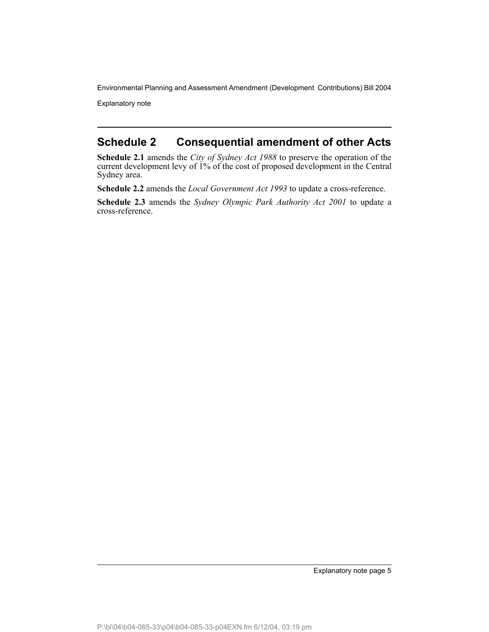Explanatory note

## **Schedule 2 Consequential amendment of other Acts**

**Schedule 2.1** amends the *City of Sydney Act 1988* to preserve the operation of the current development levy of 1% of the cost of proposed development in the Central Sydney area.

**Schedule 2.2** amends the *Local Government Act 1993* to update a cross-reference.

**Schedule 2.3** amends the *Sydney Olympic Park Authority Act 2001* to update a cross-reference.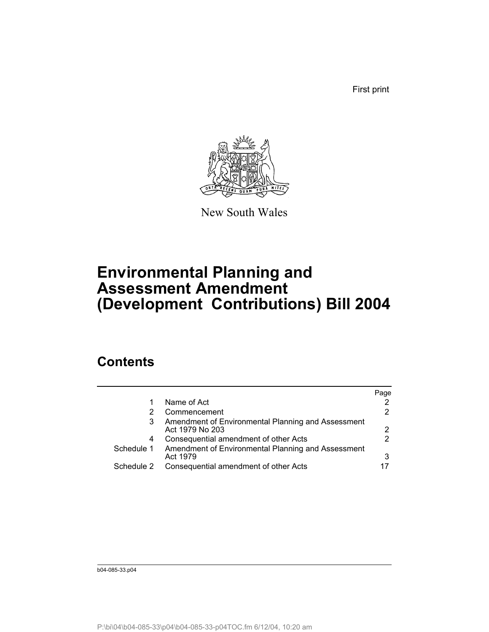First print



New South Wales

# **Environmental Planning and Assessment Amendment (Development Contributions) Bill 2004**

## **Contents**

|            |                                                                       | Page |
|------------|-----------------------------------------------------------------------|------|
|            | Name of Act                                                           |      |
|            | Commencement                                                          |      |
|            | Amendment of Environmental Planning and Assessment<br>Act 1979 No 203 | 2    |
| 4          | Consequential amendment of other Acts                                 |      |
| Schedule 1 | Amendment of Environmental Planning and Assessment<br>Act 1979        | 3    |
| Schedule 2 | Consequential amendment of other Acts                                 |      |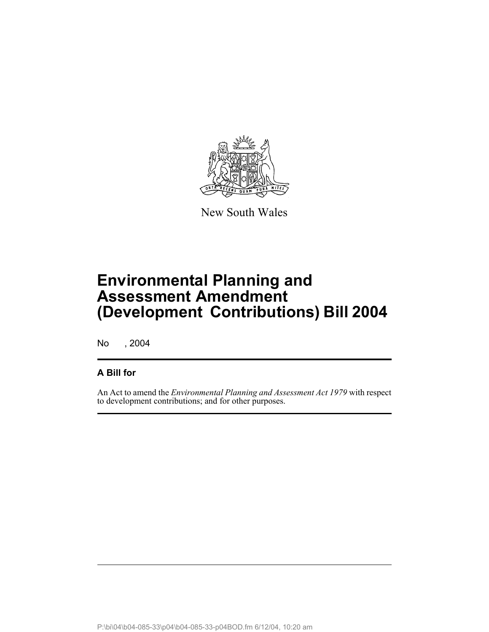

New South Wales

# **Environmental Planning and Assessment Amendment (Development Contributions) Bill 2004**

No , 2004

## **A Bill for**

An Act to amend the *Environmental Planning and Assessment Act 1979* with respect to development contributions; and for other purposes.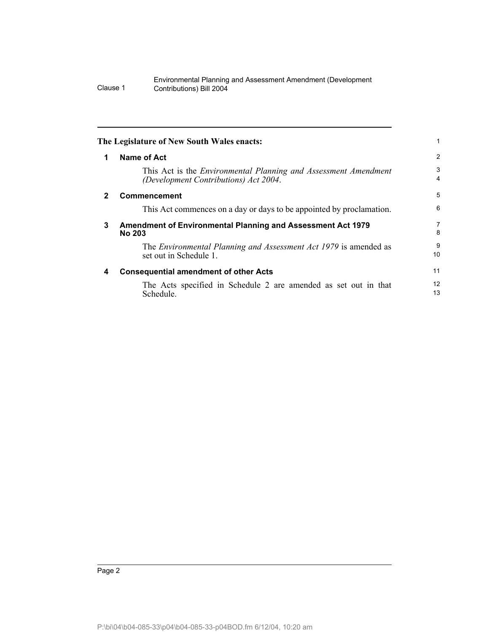| 1            | <b>Name of Act</b>                                                                                              | 2                   |
|--------------|-----------------------------------------------------------------------------------------------------------------|---------------------|
|              | This Act is the <i>Environmental Planning and Assessment Amendment</i><br>(Development Contributions) Act 2004. | 3<br>$\overline{4}$ |
| $\mathbf{2}$ | Commencement                                                                                                    | 5                   |
|              | This Act commences on a day or days to be appointed by proclamation.                                            | 6                   |
| 3            | Amendment of Environmental Planning and Assessment Act 1979<br><b>No 203</b>                                    | $\overline{7}$<br>8 |
|              | The Environmental Planning and Assessment Act 1979 is amended as<br>set out in Schedule 1.                      | 9<br>10             |
| 4            | <b>Consequential amendment of other Acts</b>                                                                    | 11                  |
|              | The Acts specified in Schedule 2 are amended as set out in that                                                 | 12<br>13            |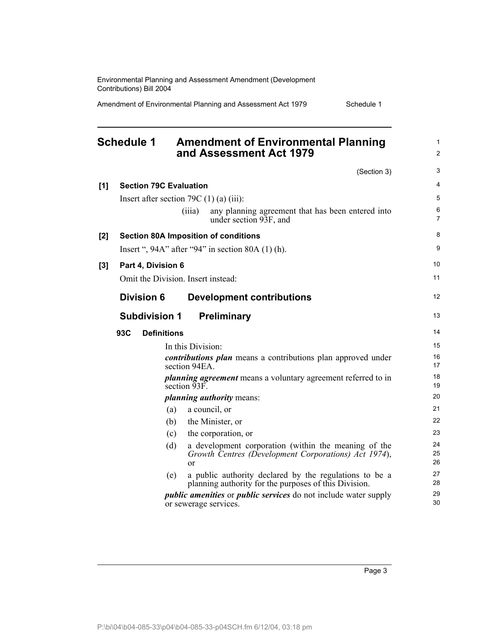|       | <b>Schedule 1</b> |                                              |                   | <b>Amendment of Environmental Planning</b><br>and Assessment Act 1979                                           | $\mathbf{1}$<br>2   |
|-------|-------------------|----------------------------------------------|-------------------|-----------------------------------------------------------------------------------------------------------------|---------------------|
|       |                   |                                              |                   | (Section 3)                                                                                                     | 3                   |
| [1]   |                   | <b>Section 79C Evaluation</b>                |                   |                                                                                                                 | $\overline{4}$      |
|       |                   | Insert after section 79C $(1)$ (a) $(iii)$ : |                   |                                                                                                                 | 5                   |
|       |                   |                                              | (iii)             | any planning agreement that has been entered into<br>under section 93F, and                                     | 6<br>$\overline{7}$ |
| $[2]$ |                   |                                              |                   | <b>Section 80A Imposition of conditions</b>                                                                     | 8                   |
|       |                   |                                              |                   | Insert ", $94A$ " after " $94$ " in section 80A (1) (h).                                                        | 9                   |
| $[3]$ |                   | Part 4, Division 6                           |                   |                                                                                                                 | 10                  |
|       |                   | Omit the Division. Insert instead:           |                   |                                                                                                                 | 11                  |
|       |                   | <b>Division 6</b>                            |                   | <b>Development contributions</b>                                                                                | 12                  |
|       |                   | <b>Subdivision 1</b>                         |                   | <b>Preliminary</b>                                                                                              | 13                  |
|       | 93C               | <b>Definitions</b>                           |                   |                                                                                                                 | 14                  |
|       |                   |                                              | In this Division: |                                                                                                                 | 15                  |
|       |                   |                                              | section 94EA.     | <i>contributions plan</i> means a contributions plan approved under                                             | 16<br>17            |
|       |                   |                                              | section 93F.      | <i>planning agreement</i> means a voluntary agreement referred to in                                            | 18<br>19            |
|       |                   |                                              |                   | <i>planning authority means:</i>                                                                                | 20                  |
|       |                   | (a)                                          |                   | a council, or                                                                                                   | 21                  |
|       |                   | (b)                                          |                   | the Minister, or                                                                                                | 22                  |
|       |                   | (c)                                          |                   | the corporation, or                                                                                             | 23                  |
|       |                   | (d)                                          | or                | a development corporation (within the meaning of the<br>Growth Centres (Development Corporations) Act 1974),    | 24<br>25<br>26      |
|       |                   | (e)                                          |                   | a public authority declared by the regulations to be a<br>planning authority for the purposes of this Division. | 27<br>28            |
|       |                   |                                              |                   | <i>public amenities</i> or <i>public services</i> do not include water supply<br>or sewerage services.          | 29<br>30            |

Environmental Planning and Assessment Amendment (Development

Amendment of Environmental Planning and Assessment Act 1979 Schedule 1

Contributions) Bill 2004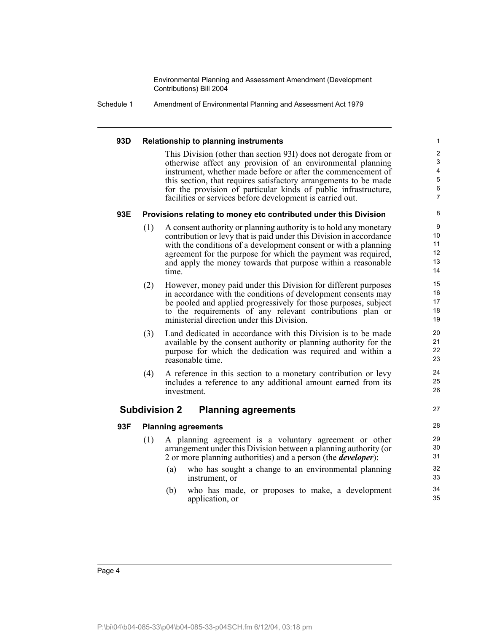Schedule 1 Amendment of Environmental Planning and Assessment Act 1979

#### **93D Relationship to planning instruments**

This Division (other than section 93I) does not derogate from or otherwise affect any provision of an environmental planning instrument, whether made before or after the commencement of this section, that requires satisfactory arrangements to be made for the provision of particular kinds of public infrastructure, facilities or services before development is carried out.

#### **93E Provisions relating to money etc contributed under this Division**

- (1) A consent authority or planning authority is to hold any monetary contribution or levy that is paid under this Division in accordance with the conditions of a development consent or with a planning agreement for the purpose for which the payment was required, and apply the money towards that purpose within a reasonable time.
- (2) However, money paid under this Division for different purposes in accordance with the conditions of development consents may be pooled and applied progressively for those purposes, subject to the requirements of any relevant contributions plan or ministerial direction under this Division.
- (3) Land dedicated in accordance with this Division is to be made available by the consent authority or planning authority for the purpose for which the dedication was required and within a reasonable time.
- (4) A reference in this section to a monetary contribution or levy includes a reference to any additional amount earned from its investment.

### **Subdivision 2 Planning agreements**

### 27 28

### **93F Planning agreements**

- (1) A planning agreement is a voluntary agreement or other arrangement under this Division between a planning authority (or 2 or more planning authorities) and a person (the *developer*):
	- (a) who has sought a change to an environmental planning instrument, or
	- (b) who has made, or proposes to make, a development application, or

24 25 26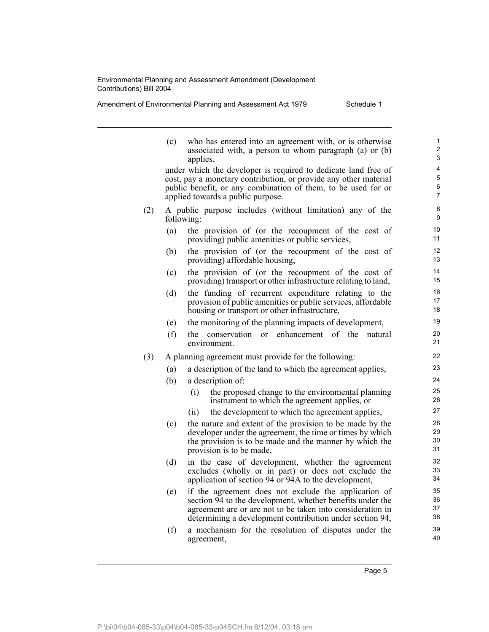agreement,

|  |  | Amendment of Environmental Planning and Assessment Act 1979 | Schedule 1 |
|--|--|-------------------------------------------------------------|------------|
|--|--|-------------------------------------------------------------|------------|

(c) who has entered into an agreement with, or is otherwise associated with, a person to whom paragraph (a) or (b) applies, under which the developer is required to dedicate land free of cost, pay a monetary contribution, or provide any other material public benefit, or any combination of them, to be used for or applied towards a public purpose. (2) A public purpose includes (without limitation) any of the following: (a) the provision of (or the recoupment of the cost of providing) public amenities or public services, (b) the provision of (or the recoupment of the cost of providing) affordable housing, (c) the provision of (or the recoupment of the cost of providing) transport or other infrastructure relating to land, (d) the funding of recurrent expenditure relating to the provision of public amenities or public services, affordable housing or transport or other infrastructure, (e) the monitoring of the planning impacts of development, (f) the conservation or enhancement of the natural environment. (3) A planning agreement must provide for the following: (a) a description of the land to which the agreement applies, (b) a description of: (i) the proposed change to the environmental planning instrument to which the agreement applies, or (ii) the development to which the agreement applies, (c) the nature and extent of the provision to be made by the developer under the agreement, the time or times by which the provision is to be made and the manner by which the provision is to be made, (d) in the case of development, whether the agreement excludes (wholly or in part) or does not exclude the application of section 94 or 94A to the development, (e) if the agreement does not exclude the application of section 94 to the development, whether benefits under the agreement are or are not to be taken into consideration in determining a development contribution under section 94, (f) a mechanism for the resolution of disputes under the 1 2 3 4 5 6 7 8 9 10 11 12 13 14 15 16 17 18 19  $20$ 21 22 23 24 25 26 27 28 29 30 31 32 33 34 35 36 37 38 39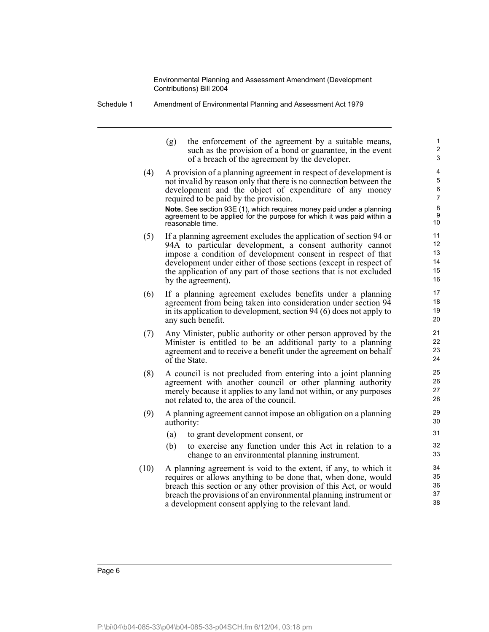Schedule 1 Amendment of Environmental Planning and Assessment Act 1979

(g) the enforcement of the agreement by a suitable means, such as the provision of a bond or guarantee, in the event of a breach of the agreement by the developer.

(4) A provision of a planning agreement in respect of development is not invalid by reason only that there is no connection between the development and the object of expenditure of any money required to be paid by the provision.

**Note.** See section 93E (1), which requires money paid under a planning agreement to be applied for the purpose for which it was paid within a reasonable time.

- (5) If a planning agreement excludes the application of section 94 or 94A to particular development, a consent authority cannot impose a condition of development consent in respect of that development under either of those sections (except in respect of the application of any part of those sections that is not excluded by the agreement).
- (6) If a planning agreement excludes benefits under a planning agreement from being taken into consideration under section 94 in its application to development, section 94 (6) does not apply to any such benefit.
- (7) Any Minister, public authority or other person approved by the Minister is entitled to be an additional party to a planning agreement and to receive a benefit under the agreement on behalf of the State.
- (8) A council is not precluded from entering into a joint planning agreement with another council or other planning authority merely because it applies to any land not within, or any purposes not related to, the area of the council.
- (9) A planning agreement cannot impose an obligation on a planning authority:
	- (a) to grant development consent, or
	- (b) to exercise any function under this Act in relation to a change to an environmental planning instrument.
- (10) A planning agreement is void to the extent, if any, to which it requires or allows anything to be done that, when done, would breach this section or any other provision of this Act, or would breach the provisions of an environmental planning instrument or a development consent applying to the relevant land.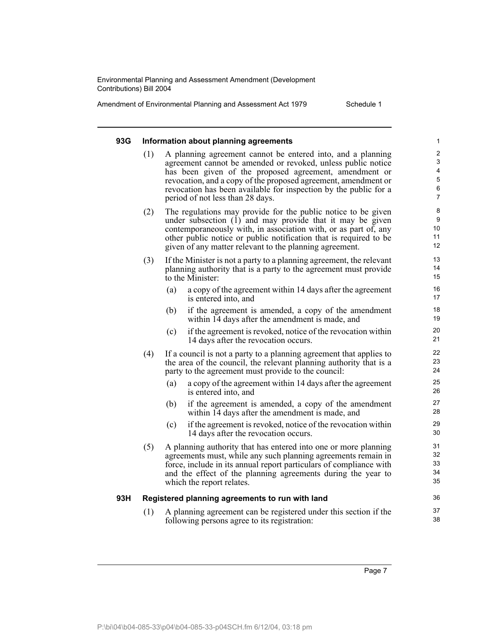| Amendment of Environmental Planning and Assessment Act 1979 |  | Schedule 1 |
|-------------------------------------------------------------|--|------------|
|-------------------------------------------------------------|--|------------|

### **93G Information about planning agreements** (1) A planning agreement cannot be entered into, and a planning agreement cannot be amended or revoked, unless public notice has been given of the proposed agreement, amendment or revocation, and a copy of the proposed agreement, amendment or revocation has been available for inspection by the public for a period of not less than 28 days. (2) The regulations may provide for the public notice to be given

- under subsection (1) and may provide that it may be given contemporaneously with, in association with, or as part of, any other public notice or public notification that is required to be given of any matter relevant to the planning agreement.
- (3) If the Minister is not a party to a planning agreement, the relevant planning authority that is a party to the agreement must provide to the Minister:
	- (a) a copy of the agreement within 14 days after the agreement is entered into, and
	- (b) if the agreement is amended, a copy of the amendment within 14 days after the amendment is made, and
	- (c) if the agreement is revoked, notice of the revocation within 14 days after the revocation occurs.
- (4) If a council is not a party to a planning agreement that applies to the area of the council, the relevant planning authority that is a party to the agreement must provide to the council:
	- (a) a copy of the agreement within 14 days after the agreement is entered into, and
	- (b) if the agreement is amended, a copy of the amendment within 14 days after the amendment is made, and
	- (c) if the agreement is revoked, notice of the revocation within 14 days after the revocation occurs.
- (5) A planning authority that has entered into one or more planning agreements must, while any such planning agreements remain in force, include in its annual report particulars of compliance with and the effect of the planning agreements during the year to which the report relates.

#### **93H Registered planning agreements to run with land**

- (1) A planning agreement can be registered under this section if the following persons agree to its registration:
	- Page 7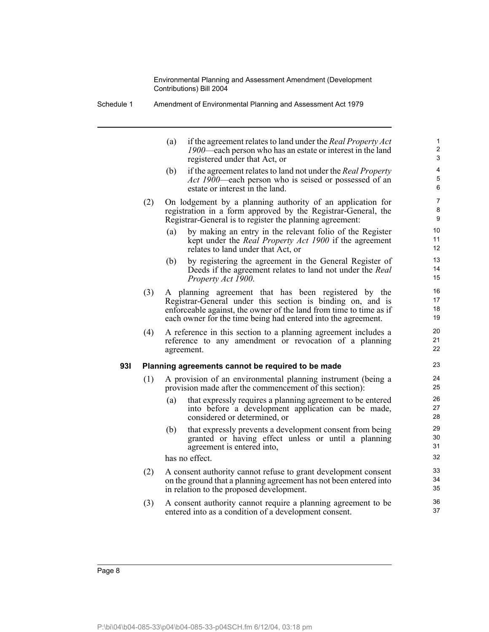| Schedule 1 | Amendment of Environmental Planning and Assessment Act 1979 |
|------------|-------------------------------------------------------------|
|            |                                                             |

(a) if the agreement relates to land under the *Real Property Act 1900*—each person who has an estate or interest in the land registered under that Act, or (b) if the agreement relates to land not under the *Real Property Act 1900*—each person who is seised or possessed of an estate or interest in the land. (2) On lodgement by a planning authority of an application for registration in a form approved by the Registrar-General, the Registrar-General is to register the planning agreement: (a) by making an entry in the relevant folio of the Register kept under the *Real Property Act 1900* if the agreement relates to land under that Act, or (b) by registering the agreement in the General Register of Deeds if the agreement relates to land not under the *Real Property Act 1900*. (3) A planning agreement that has been registered by the Registrar-General under this section is binding on, and is enforceable against, the owner of the land from time to time as if each owner for the time being had entered into the agreement. (4) A reference in this section to a planning agreement includes a reference to any amendment or revocation of a planning agreement. **93I Planning agreements cannot be required to be made** (1) A provision of an environmental planning instrument (being a provision made after the commencement of this section): (a) that expressly requires a planning agreement to be entered into before a development application can be made, considered or determined, or (b) that expressly prevents a development consent from being granted or having effect unless or until a planning agreement is entered into, has no effect. (2) A consent authority cannot refuse to grant development consent on the ground that a planning agreement has not been entered into in relation to the proposed development. (3) A consent authority cannot require a planning agreement to be entered into as a condition of a development consent. 1 2 3 4 5 6 7 8 9 10 11 12 13 14 15 16 17 18 19 20 21 22 23 24 25 26 27 28 29 30 31 32 33 34 35 36 37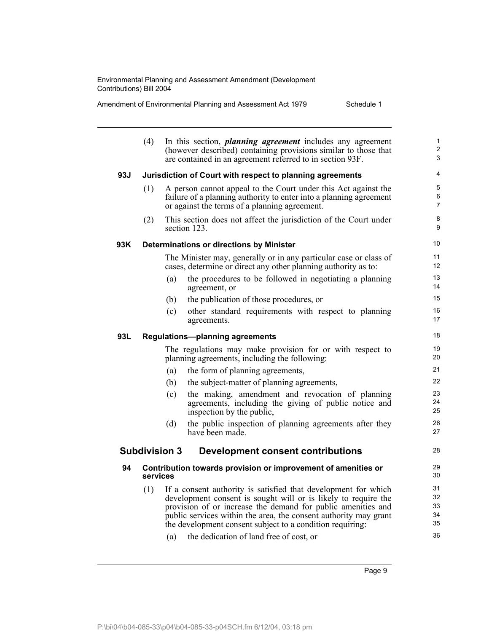| Amendment of Environmental Planning and Assessment Act 1979 | Schedule 1 |
|-------------------------------------------------------------|------------|
|                                                             |            |

| (4) | In this section, <i>planning agreement</i> includes any agreement<br>(however described) containing provisions similar to those that<br>are contained in an agreement referred to in section 93F.                                                                                                                                 | 1<br>2<br>3                                                                                                                                                                                                                                                                                               |
|-----|-----------------------------------------------------------------------------------------------------------------------------------------------------------------------------------------------------------------------------------------------------------------------------------------------------------------------------------|-----------------------------------------------------------------------------------------------------------------------------------------------------------------------------------------------------------------------------------------------------------------------------------------------------------|
|     |                                                                                                                                                                                                                                                                                                                                   | 4                                                                                                                                                                                                                                                                                                         |
| (1) | A person cannot appeal to the Court under this Act against the<br>failure of a planning authority to enter into a planning agreement<br>or against the terms of a planning agreement.                                                                                                                                             | 5<br>6<br>$\overline{7}$                                                                                                                                                                                                                                                                                  |
| (2) | This section does not affect the jurisdiction of the Court under<br>section 123.                                                                                                                                                                                                                                                  | 8<br>9                                                                                                                                                                                                                                                                                                    |
|     |                                                                                                                                                                                                                                                                                                                                   | 10 <sup>°</sup>                                                                                                                                                                                                                                                                                           |
|     | The Minister may, generally or in any particular case or class of<br>cases, determine or direct any other planning authority as to:                                                                                                                                                                                               | 11<br>12 <sup>2</sup>                                                                                                                                                                                                                                                                                     |
|     | the procedures to be followed in negotiating a planning<br>(a)<br>agreement, or                                                                                                                                                                                                                                                   | 13<br>14                                                                                                                                                                                                                                                                                                  |
|     | the publication of those procedures, or<br>(b)                                                                                                                                                                                                                                                                                    | 15                                                                                                                                                                                                                                                                                                        |
|     | other standard requirements with respect to planning<br>(c)<br>agreements.                                                                                                                                                                                                                                                        | 16<br>17                                                                                                                                                                                                                                                                                                  |
|     |                                                                                                                                                                                                                                                                                                                                   | 18                                                                                                                                                                                                                                                                                                        |
|     | The regulations may make provision for or with respect to<br>planning agreements, including the following:                                                                                                                                                                                                                        | 19<br>20                                                                                                                                                                                                                                                                                                  |
|     | the form of planning agreements,<br>(a)                                                                                                                                                                                                                                                                                           | 21                                                                                                                                                                                                                                                                                                        |
|     | the subject-matter of planning agreements,<br>(b)                                                                                                                                                                                                                                                                                 | 22                                                                                                                                                                                                                                                                                                        |
|     | the making, amendment and revocation of planning<br>(c)<br>agreements, including the giving of public notice and<br>inspection by the public,                                                                                                                                                                                     | 23<br>24<br>25                                                                                                                                                                                                                                                                                            |
|     | the public inspection of planning agreements after they<br>(d)<br>have been made.                                                                                                                                                                                                                                                 | 26<br>27                                                                                                                                                                                                                                                                                                  |
|     | <b>Development consent contributions</b>                                                                                                                                                                                                                                                                                          | 28                                                                                                                                                                                                                                                                                                        |
|     |                                                                                                                                                                                                                                                                                                                                   | 29<br>30                                                                                                                                                                                                                                                                                                  |
| (1) | If a consent authority is satisfied that development for which<br>development consent is sought will or is likely to require the<br>provision of or increase the demand for public amenities and<br>public services within the area, the consent authority may grant<br>the development consent subject to a condition requiring: | 31<br>32<br>33<br>34<br>35<br>36                                                                                                                                                                                                                                                                          |
|     |                                                                                                                                                                                                                                                                                                                                   | Jurisdiction of Court with respect to planning agreements<br><b>Determinations or directions by Minister</b><br><b>Regulations-planning agreements</b><br><b>Subdivision 3</b><br>Contribution towards provision or improvement of amenities or<br>services<br>(a) the dedication of land free of cost or |

(a) the dedication of land free of cost, or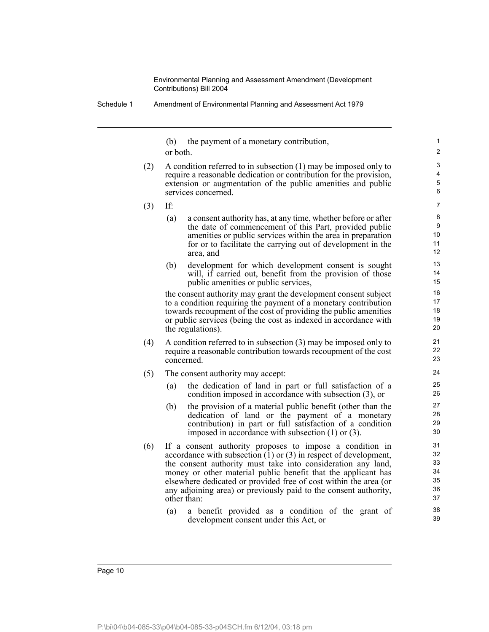(b) the payment of a monetary contribution, or both.

(2) A condition referred to in subsection (1) may be imposed only to require a reasonable dedication or contribution for the provision, extension or augmentation of the public amenities and public services concerned.

(3) If:

(a) a consent authority has, at any time, whether before or after the date of commencement of this Part, provided public amenities or public services within the area in preparation for or to facilitate the carrying out of development in the area, and

(b) development for which development consent is sought will, if carried out, benefit from the provision of those public amenities or public services,

the consent authority may grant the development consent subject to a condition requiring the payment of a monetary contribution towards recoupment of the cost of providing the public amenities or public services (being the cost as indexed in accordance with the regulations).

- (4) A condition referred to in subsection (3) may be imposed only to require a reasonable contribution towards recoupment of the cost concerned.
- (5) The consent authority may accept:
	- (a) the dedication of land in part or full satisfaction of a condition imposed in accordance with subsection (3), or
	- (b) the provision of a material public benefit (other than the dedication of land or the payment of a monetary contribution) in part or full satisfaction of a condition imposed in accordance with subsection (1) or (3).
- (6) If a consent authority proposes to impose a condition in accordance with subsection  $(1)$  or  $(3)$  in respect of development, the consent authority must take into consideration any land, money or other material public benefit that the applicant has elsewhere dedicated or provided free of cost within the area (or any adjoining area) or previously paid to the consent authority, other than:
	- (a) a benefit provided as a condition of the grant of development consent under this Act, or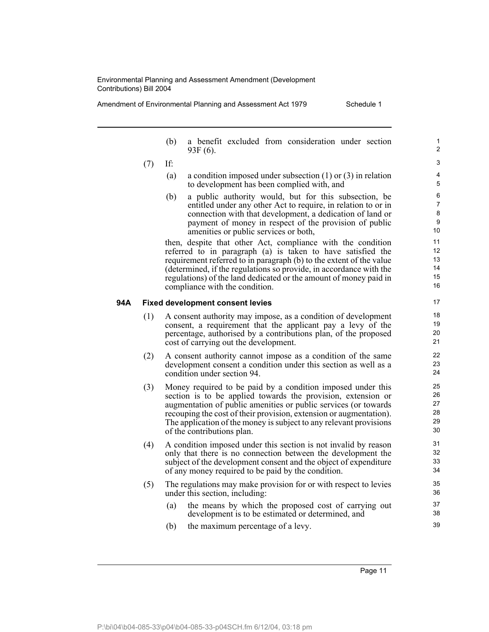Amendment of Environmental Planning and Assessment Act 1979 Schedule 1

- (b) a benefit excluded from consideration under section 93F (6).
- (7) If:
	- (a) a condition imposed under subsection (1) or (3) in relation to development has been complied with, and
	- (b) a public authority would, but for this subsection, be entitled under any other Act to require, in relation to or in connection with that development, a dedication of land or payment of money in respect of the provision of public amenities or public services or both,

then, despite that other Act, compliance with the condition referred to in paragraph (a) is taken to have satisfied the requirement referred to in paragraph (b) to the extent of the value (determined, if the regulations so provide, in accordance with the regulations) of the land dedicated or the amount of money paid in compliance with the condition.

#### **94A Fixed development consent levies**

- (1) A consent authority may impose, as a condition of development consent, a requirement that the applicant pay a levy of the percentage, authorised by a contributions plan, of the proposed cost of carrying out the development.
- (2) A consent authority cannot impose as a condition of the same development consent a condition under this section as well as a condition under section 94.
- (3) Money required to be paid by a condition imposed under this section is to be applied towards the provision, extension or augmentation of public amenities or public services (or towards recouping the cost of their provision, extension or augmentation). The application of the money is subject to any relevant provisions of the contributions plan.
- (4) A condition imposed under this section is not invalid by reason only that there is no connection between the development the subject of the development consent and the object of expenditure of any money required to be paid by the condition.
- (5) The regulations may make provision for or with respect to levies under this section, including:
	- (a) the means by which the proposed cost of carrying out development is to be estimated or determined, and
	- (b) the maximum percentage of a levy.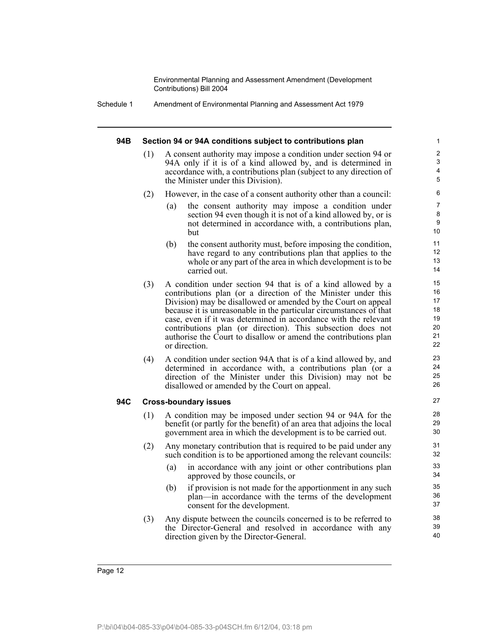Schedule 1 Amendment of Environmental Planning and Assessment Act 1979

#### **94B Section 94 or 94A conditions subject to contributions plan**

- (1) A consent authority may impose a condition under section 94 or 94A only if it is of a kind allowed by, and is determined in accordance with, a contributions plan (subject to any direction of the Minister under this Division).
- (2) However, in the case of a consent authority other than a council:
	- (a) the consent authority may impose a condition under section 94 even though it is not of a kind allowed by, or is not determined in accordance with, a contributions plan, but

- (b) the consent authority must, before imposing the condition, have regard to any contributions plan that applies to the whole or any part of the area in which development is to be carried out.
- (3) A condition under section 94 that is of a kind allowed by a contributions plan (or a direction of the Minister under this Division) may be disallowed or amended by the Court on appeal because it is unreasonable in the particular circumstances of that case, even if it was determined in accordance with the relevant contributions plan (or direction). This subsection does not authorise the Court to disallow or amend the contributions plan or direction.
- (4) A condition under section 94A that is of a kind allowed by, and determined in accordance with, a contributions plan (or a direction of the Minister under this Division) may not be disallowed or amended by the Court on appeal.

#### **94C Cross-boundary issues**

- (1) A condition may be imposed under section 94 or 94A for the benefit (or partly for the benefit) of an area that adjoins the local government area in which the development is to be carried out.
- (2) Any monetary contribution that is required to be paid under any such condition is to be apportioned among the relevant councils:
	- (a) in accordance with any joint or other contributions plan approved by those councils, or
	- (b) if provision is not made for the apportionment in any such plan—in accordance with the terms of the development consent for the development.
- (3) Any dispute between the councils concerned is to be referred to the Director-General and resolved in accordance with any direction given by the Director-General.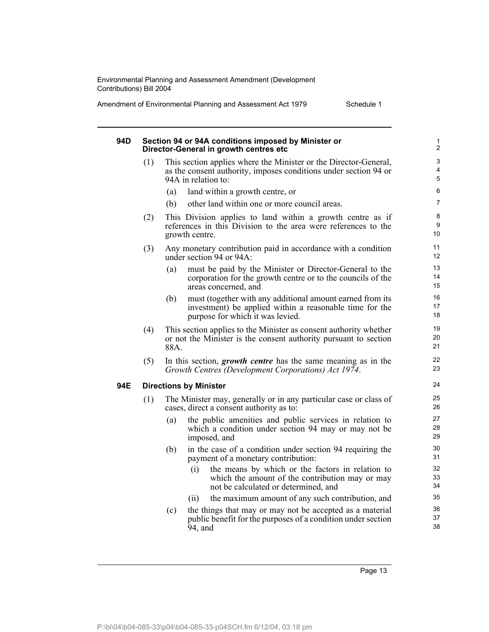| Amendment of Environmental Planning and Assessment Act 1979 | Schedule 1 |
|-------------------------------------------------------------|------------|
|                                                             |            |

### **94D Section 94 or 94A conditions imposed by Minister or Director-General in growth centres etc**

- (1) This section applies where the Minister or the Director-General, as the consent authority, imposes conditions under section 94 or 94A in relation to:
	- (a) land within a growth centre, or
	- (b) other land within one or more council areas.
- (2) This Division applies to land within a growth centre as if references in this Division to the area were references to the growth centre.
- (3) Any monetary contribution paid in accordance with a condition under section 94 or 94A:
	- (a) must be paid by the Minister or Director-General to the corporation for the growth centre or to the councils of the areas concerned, and
	- (b) must (together with any additional amount earned from its investment) be applied within a reasonable time for the purpose for which it was levied.
- (4) This section applies to the Minister as consent authority whether or not the Minister is the consent authority pursuant to section 88A.
- (5) In this section, *growth centre* has the same meaning as in the *Growth Centres (Development Corporations) Act 1974*.

#### **94E Directions by Minister**

- (1) The Minister may, generally or in any particular case or class of cases, direct a consent authority as to:
	- (a) the public amenities and public services in relation to which a condition under section 94 may or may not be imposed, and
	- (b) in the case of a condition under section 94 requiring the payment of a monetary contribution:
		- (i) the means by which or the factors in relation to which the amount of the contribution may or may not be calculated or determined, and
		- (ii) the maximum amount of any such contribution, and
	- (c) the things that may or may not be accepted as a material public benefit for the purposes of a condition under section 94, and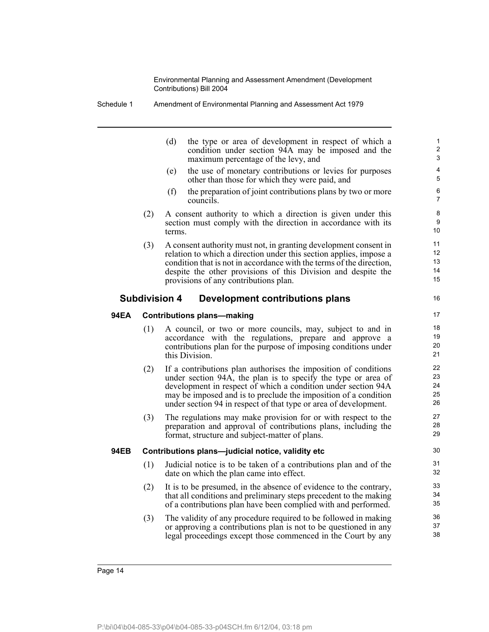Schedule 1 Amendment of Environmental Planning and Assessment Act 1979

| (d) | the type or area of development in respect of which a |
|-----|-------------------------------------------------------|
|     | condition under section 94A may be imposed and the    |
|     | maximum percentage of the levy, and                   |
|     |                                                       |

16

- (e) the use of monetary contributions or levies for purposes other than those for which they were paid, and
- (f) the preparation of joint contributions plans by two or more councils.
- (2) A consent authority to which a direction is given under this section must comply with the direction in accordance with its terms.
- (3) A consent authority must not, in granting development consent in relation to which a direction under this section applies, impose a condition that is not in accordance with the terms of the direction, despite the other provisions of this Division and despite the provisions of any contributions plan.

#### **Subdivision 4 Development contributions plans**

#### **94EA Contributions plans—making**

- (1) A council, or two or more councils, may, subject to and in accordance with the regulations, prepare and approve a contributions plan for the purpose of imposing conditions under this Division.
- (2) If a contributions plan authorises the imposition of conditions under section 94A, the plan is to specify the type or area of development in respect of which a condition under section 94A may be imposed and is to preclude the imposition of a condition under section 94 in respect of that type or area of development.
- (3) The regulations may make provision for or with respect to the preparation and approval of contributions plans, including the format, structure and subject-matter of plans.

#### **94EB Contributions plans—judicial notice, validity etc**

- (1) Judicial notice is to be taken of a contributions plan and of the date on which the plan came into effect.
- (2) It is to be presumed, in the absence of evidence to the contrary, that all conditions and preliminary steps precedent to the making of a contributions plan have been complied with and performed.
- (3) The validity of any procedure required to be followed in making or approving a contributions plan is not to be questioned in any legal proceedings except those commenced in the Court by any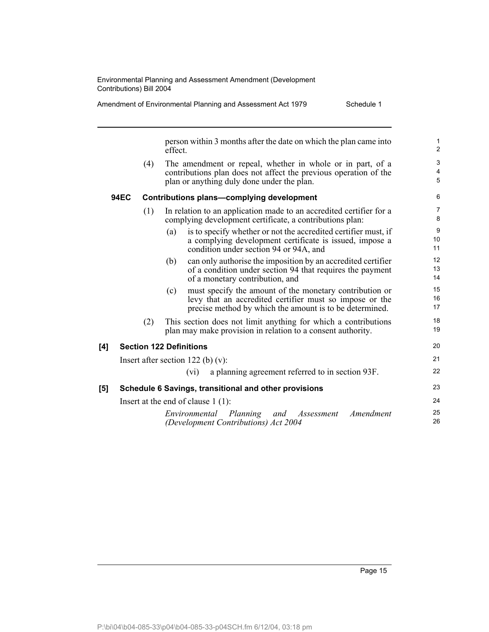person within 3 months after the date on which the plan came into effect.

(4) The amendment or repeal, whether in whole or in part, of a contributions plan does not affect the previous operation of the plan or anything duly done under the plan.

#### **94EC Contributions plans—complying development**

- (1) In relation to an application made to an accredited certifier for a complying development certificate, a contributions plan:
	- (a) is to specify whether or not the accredited certifier must, if a complying development certificate is issued, impose a condition under section 94 or 94A, and
	- (b) can only authorise the imposition by an accredited certifier of a condition under section 94 that requires the payment of a monetary contribution, and
	- (c) must specify the amount of the monetary contribution or levy that an accredited certifier must so impose or the precise method by which the amount is to be determined.
- (2) This section does not limit anything for which a contributions plan may make provision in relation to a consent authority.

#### **[4] Section 122 Definitions**

| [5] |                                      | Schedule 6 Savings, transitional and other provisions |  |
|-----|--------------------------------------|-------------------------------------------------------|--|
|     |                                      | (vi) a planning agreement referred to in section 93F. |  |
|     | Insert after section 122 (b) $(v)$ : |                                                       |  |

Insert at the end of clause 1 (1):

*Environmental Planning and Assessment Amendment (Development Contributions) Act 2004* 25 26

20 21 22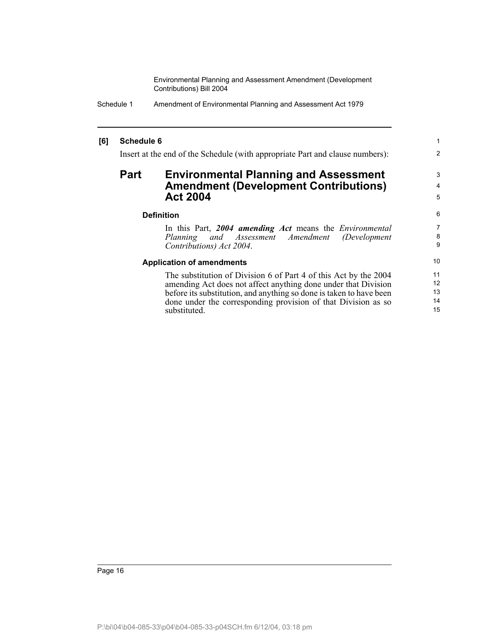| Schedule 1 | Amendment of Environmental Planning and Assessment Act 1979 |
|------------|-------------------------------------------------------------|
|------------|-------------------------------------------------------------|

#### **[6] Schedule 6**

Insert at the end of the Schedule (with appropriate Part and clause numbers):

## **Part Environmental Planning and Assessment Amendment (Development Contributions) Act 2004**

#### **Definition**

In this Part, *2004 amending Act* means the *Environmental <i>Assessment Amendment Contributions) Act 2004*.

1 2

3 4 5

#### **Application of amendments**

The substitution of Division 6 of Part 4 of this Act by the 2004 amending Act does not affect anything done under that Division before its substitution, and anything so done is taken to have been done under the corresponding provision of that Division as so substituted.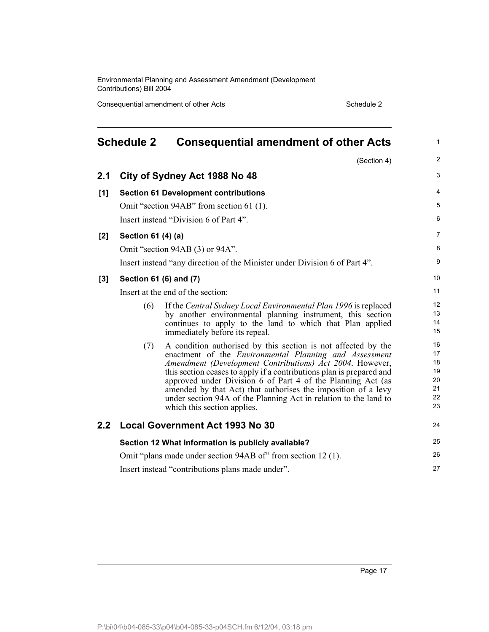Consequential amendment of other Acts Schedule 2

| <b>Schedule 2</b><br><b>Consequential amendment of other Acts</b> |                    |                                                                                                                                                                                                                                                                                                                                                                                                                                                                                                       | $\mathbf{1}$                                 |
|-------------------------------------------------------------------|--------------------|-------------------------------------------------------------------------------------------------------------------------------------------------------------------------------------------------------------------------------------------------------------------------------------------------------------------------------------------------------------------------------------------------------------------------------------------------------------------------------------------------------|----------------------------------------------|
|                                                                   |                    | (Section 4)                                                                                                                                                                                                                                                                                                                                                                                                                                                                                           | $\overline{2}$                               |
| 2.1                                                               |                    | City of Sydney Act 1988 No 48                                                                                                                                                                                                                                                                                                                                                                                                                                                                         | 3                                            |
| [1]                                                               |                    | <b>Section 61 Development contributions</b>                                                                                                                                                                                                                                                                                                                                                                                                                                                           | 4                                            |
|                                                                   |                    | Omit "section 94AB" from section 61 (1).                                                                                                                                                                                                                                                                                                                                                                                                                                                              | 5                                            |
|                                                                   |                    | Insert instead "Division 6 of Part 4".                                                                                                                                                                                                                                                                                                                                                                                                                                                                | 6                                            |
| [2]                                                               | Section 61 (4) (a) |                                                                                                                                                                                                                                                                                                                                                                                                                                                                                                       | $\overline{7}$                               |
|                                                                   |                    | Omit "section 94AB (3) or 94A".                                                                                                                                                                                                                                                                                                                                                                                                                                                                       | 8                                            |
|                                                                   |                    | Insert instead "any direction of the Minister under Division 6 of Part 4".                                                                                                                                                                                                                                                                                                                                                                                                                            | 9                                            |
| [3]                                                               |                    | Section 61 (6) and (7)                                                                                                                                                                                                                                                                                                                                                                                                                                                                                | 10                                           |
|                                                                   |                    | Insert at the end of the section:                                                                                                                                                                                                                                                                                                                                                                                                                                                                     | 11                                           |
|                                                                   | (6)                | If the Central Sydney Local Environmental Plan 1996 is replaced<br>by another environmental planning instrument, this section<br>continues to apply to the land to which that Plan applied<br>immediately before its repeal.                                                                                                                                                                                                                                                                          | $12 \overline{ }$<br>13<br>14<br>15          |
|                                                                   | (7)                | A condition authorised by this section is not affected by the<br>enactment of the <i>Environmental Planning and Assessment</i><br>Amendment (Development Contributions) Act 2004. However,<br>this section ceases to apply if a contributions plan is prepared and<br>approved under Division 6 of Part 4 of the Planning Act (as<br>amended by that Act) that authorises the imposition of a levy<br>under section 94A of the Planning Act in relation to the land to<br>which this section applies. | 16<br>17<br>18<br>19<br>20<br>21<br>22<br>23 |
| $2.2^{\circ}$                                                     |                    | <b>Local Government Act 1993 No 30</b>                                                                                                                                                                                                                                                                                                                                                                                                                                                                | 24                                           |
|                                                                   |                    | Section 12 What information is publicly available?                                                                                                                                                                                                                                                                                                                                                                                                                                                    | 25                                           |
|                                                                   |                    | Omit "plans made under section 94AB of" from section 12(1).                                                                                                                                                                                                                                                                                                                                                                                                                                           | 26                                           |
|                                                                   |                    | Insert instead "contributions plans made under".                                                                                                                                                                                                                                                                                                                                                                                                                                                      | 27                                           |